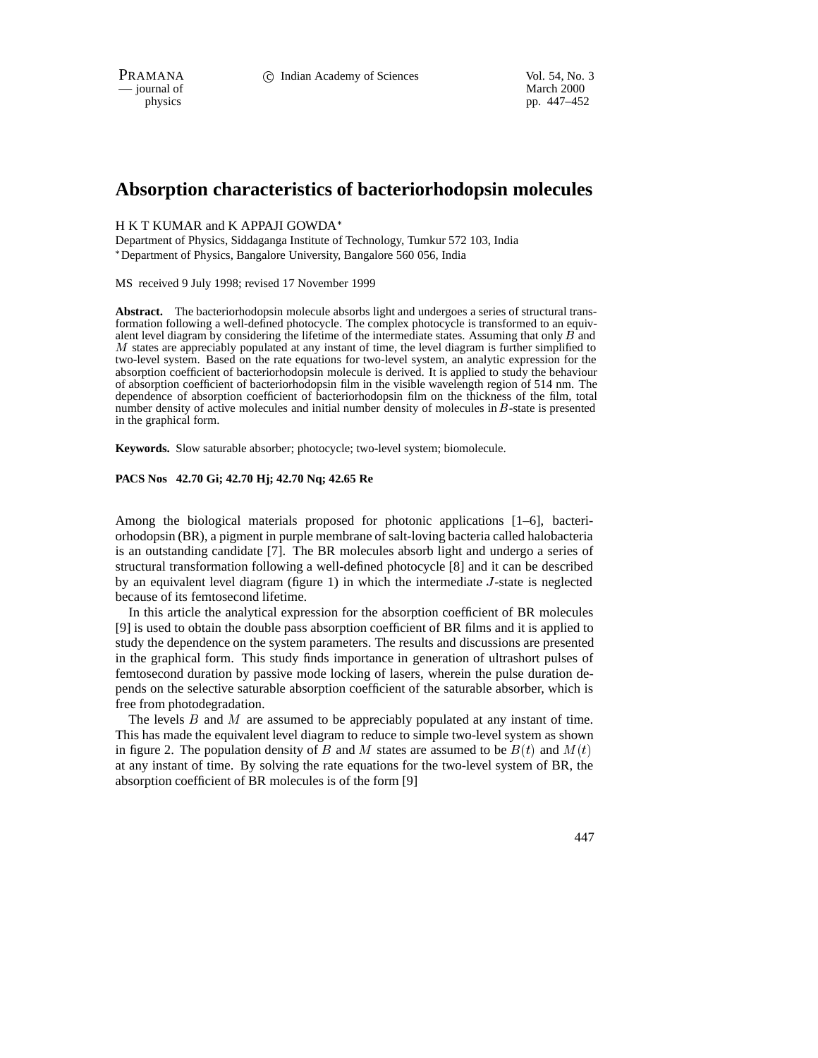$\overline{\phantom{a}}$  journal of

physics pp. 447–452

# **Absorption characteristics of bacteriorhodopsin molecules**

#### H K T KUMAR and K APPAJI GOWDA

Department of Physics, Siddaganga Institute of Technology, Tumkur 572 103, India Department of Physics, Bangalore University, Bangalore 560 056, India

MS received 9 July 1998; revised 17 November 1999

**Abstract.** The bacteriorhodopsin molecule absorbs light and undergoes a series of structural transformation following a well-defined photocycle. The complex photocycle is transformed to an equivalent level diagram by considering the lifetime of the intermediate states. Assuming that only  $\vec{B}$  and <sup>M</sup> states are appreciably populated at any instant of time, the level diagram is further simplified to two-level system. Based on the rate equations for two-level system, an analytic expression for the absorption coefficient of bacteriorhodopsin molecule is derived. It is applied to study the behaviour of absorption coefficient of bacteriorhodopsin film in the visible wavelength region of 514 nm. The dependence of absorption coefficient of bacteriorhodopsin film on the thickness of the film, total number density of active molecules and initial number density of molecules in <sup>B</sup>-state is presented in the graphical form.

**Keywords.** Slow saturable absorber; photocycle; two-level system; biomolecule.

#### **PACS Nos 42.70 Gi; 42.70 Hj; 42.70 Nq; 42.65 Re**

Among the biological materials proposed for photonic applications [1–6], bacteriorhodopsin (BR), a pigment in purple membrane of salt-loving bacteria called halobacteria is an outstanding candidate [7]. The BR molecules absorb light and undergo a series of structural transformation following a well-defined photocycle [8] and it can be described by an equivalent level diagram (figure 1) in which the intermediate  $J$ -state is neglected because of its femtosecond lifetime.

In this article the analytical expression for the absorption coefficient of BR molecules [9] is used to obtain the double pass absorption coefficient of BR films and it is applied to study the dependence on the system parameters. The results and discussions are presented in the graphical form. This study finds importance in generation of ultrashort pulses of femtosecond duration by passive mode locking of lasers, wherein the pulse duration depends on the selective saturable absorption coefficient of the saturable absorber, which is free from photodegradation.

The levels  $B$  and  $M$  are assumed to be appreciably populated at any instant of time. This has made the equivalent level diagram to reduce to simple two-level system as shown in figure 2. The population density of B and M states are assumed to be  $B(t)$  and  $M(t)$ at any instant of time. By solving the rate equations for the two-level system of BR, the absorption coefficient of BR molecules is of the form [9]

447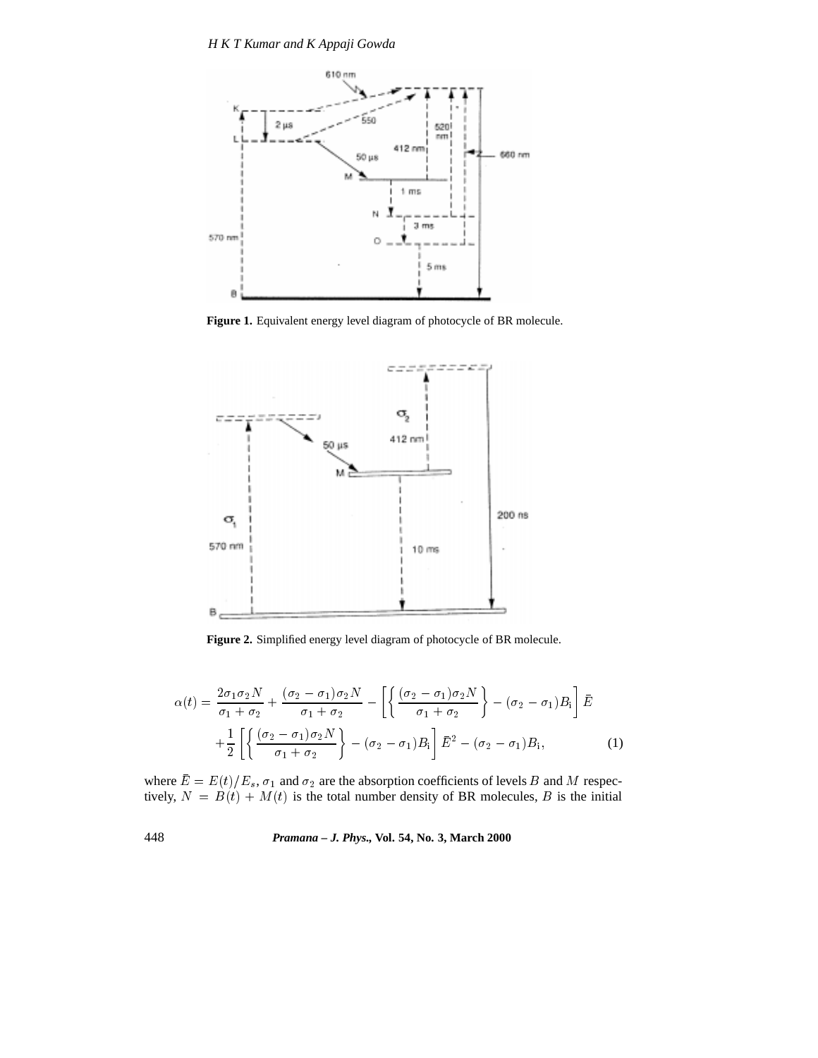

**Figure 1.** Equivalent energy level diagram of photocycle of BR molecule.



**Figure 2.** Simplified energy level diagram of photocycle of BR molecule.

$$
\alpha(t) = \frac{2\sigma_1\sigma_2 N}{\sigma_1 + \sigma_2} + \frac{(\sigma_2 - \sigma_1)\sigma_2 N}{\sigma_1 + \sigma_2} - \left[ \left\{ \frac{(\sigma_2 - \sigma_1)\sigma_2 N}{\sigma_1 + \sigma_2} \right\} - (\sigma_2 - \sigma_1)B_i \right] \bar{E}
$$

$$
+ \frac{1}{2} \left[ \left\{ \frac{(\sigma_2 - \sigma_1)\sigma_2 N}{\sigma_1 + \sigma_2} \right\} - (\sigma_2 - \sigma_1)B_i \right] \bar{E}^2 - (\sigma_2 - \sigma_1)B_i, \tag{1}
$$

where  $E = E(t)/E_s$ ,  $\sigma_1$  and  $\sigma_2$  are the absorption coefficients of levels B and M respectively,  $N = B(t) + M(t)$  is the total number density of BR molecules, B is the initial

448 *Pramana – J. Phys.,* **Vol. 54, No. 3, March 2000**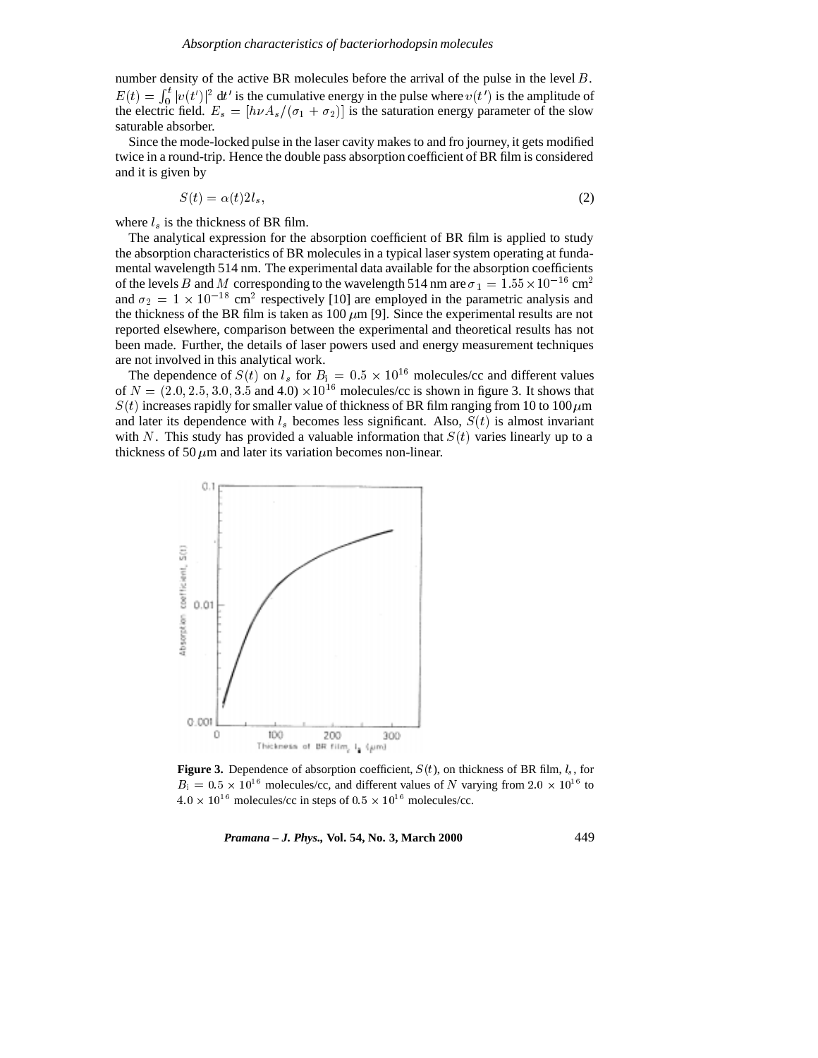number density of the active BR molecules before the arrival of the pulse in the level <sup>B</sup>.  $E(t) = \int_{0}^{t} |v(t')|^2 dt'$  $\int_0^t |v(t')|^2 dt'$  is the cumulative energy in the pulse where  $v(t')$  is the amplitude of the electric field.  $E_s = [h\nu A_s/(\sigma_1 + \sigma_2)]$  is the saturation energy parameter of the slow saturable absorber.

Since the mode-locked pulse in the laser cavity makes to and fro journey, it gets modified twice in a round-trip. Hence the double pass absorption coefficient of BR film is considered and it is given by

$$
S(t) = \alpha(t)2l_s,\tag{2}
$$

where  $l_s$  is the thickness of BR film.

The analytical expression for the absorption coefficient of BR film is applied to study the absorption characteristics of BR molecules in a typical laser system operating at fundamental wavelength 514 nm. The experimental data available for the absorption coefficients of the levels B and M corresponding to the wavelength 514 nm are  $\sigma_1 = 1.55 \times 10^{-16}$  cm<sup>2</sup> and  $\sigma_2 = 1 \times 10^{-18}$  cm<sup>2</sup> respectively [10] are employed in the parametric analysis and the thickness of the BR film is taken as 100  $\mu$ m [9]. Since the experimental results are not reported elsewhere, comparison between the experimental and theoretical results has not been made. Further, the details of laser powers used and energy measurement techniques are not involved in this analytical work.

The dependence of  $S(t)$  on  $l_s$  for  $B_i = 0.5 \times 10^{16}$  molecules/cc and different values of  $N = (2.0, 2.5, 3.0, 3.5, \text{ and } 4.0) \times 10^{16}$  molecules/cc is shown in figure 3. It shows that  $S(t)$  increases rapidly for smaller value of thickness of BR film ranging from 10 to 100  $\mu$ m and later its dependence with  $l<sub>s</sub>$  becomes less significant. Also,  $S(t)$  is almost invariant with N. This study has provided a valuable information that  $S(t)$  varies linearly up to a thickness of 50  $\mu$ m and later its variation becomes non-linear.



**Figure 3.** Dependence of absorption coefficient,  $S(t)$ , on thickness of BR film,  $l_s$ , for  $B_i = 0.5 \times 10^{16}$  molecules/cc, and different values of N varying from  $2.0 \times 10^{16}$  to  $4.0 \times 10^{16}$  molecules/cc in steps of  $0.5 \times 10^{16}$  molecules/cc.

*Pramana – J. Phys.,* **Vol. 54, No. 3, March 2000** 449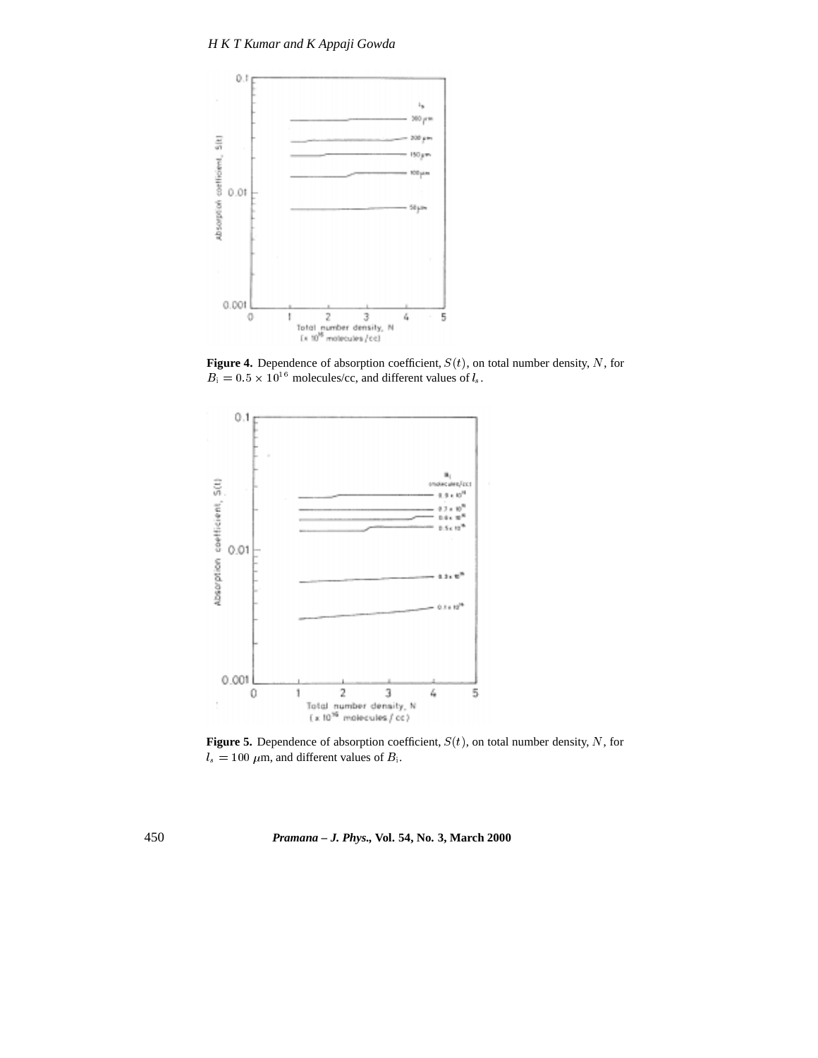

**Figure 4.** Dependence of absorption coefficient,  $S(t)$ , on total number density, N, for  $B_i = 0.5 \times 10^{16}$  molecules/cc, and different values of  $l_s$ .



**Figure 5.** Dependence of absorption coefficient,  $S(t)$ , on total number density, N, for  $l_s = 100 \ \mu \text{m}$ , and different values of  $B_i$ .

450 *Pramana – J. Phys.,* **Vol. 54, No. 3, March 2000**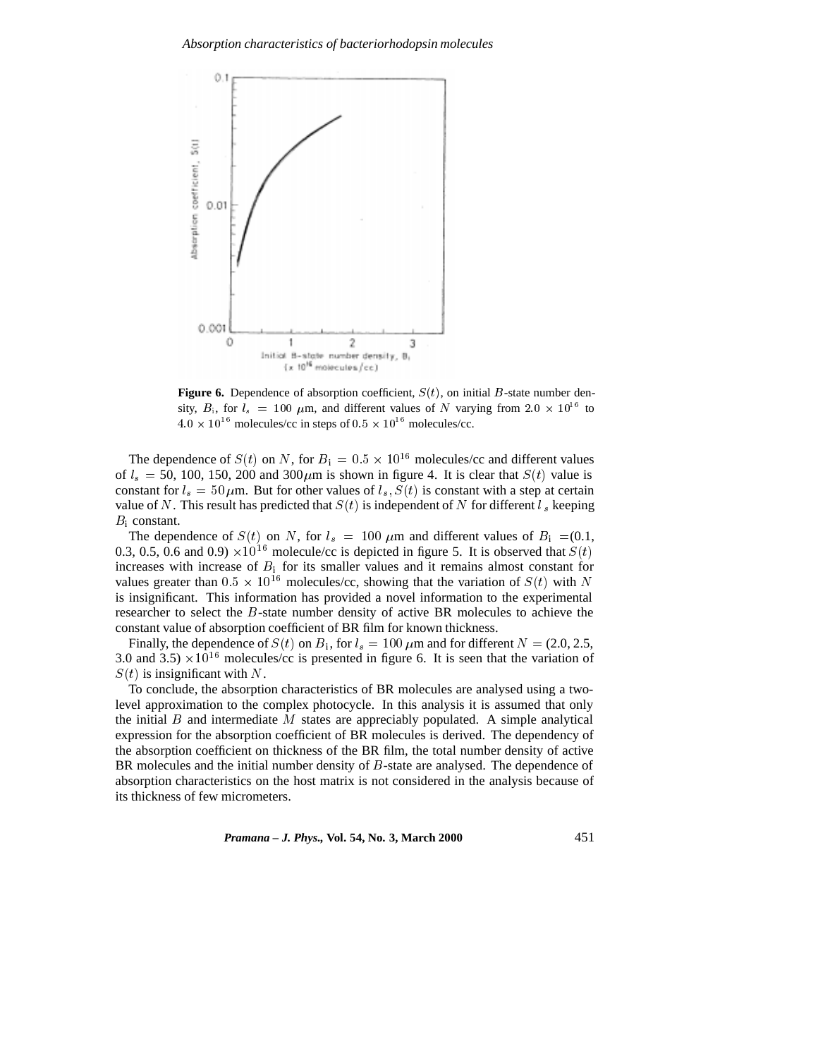

**Figure 6.** Dependence of absorption coefficient,  $S(t)$ , on initial B-state number density,  $B_i$ , for  $l_s = 100 \mu m$ , and different values of N varying from  $2.0 \times 10^{16}$  to  $4.0 \times 10^{16}$  molecules/cc in steps of  $0.5 \times 10^{16}$  molecules/cc.

The dependence of  $S(t)$  on N, for  $B_1 = 0.5 \times 10^{16}$  molecules/cc and different values of  $l_s = 50$ , 100, 150, 200 and 300  $\mu$ m is shown in figure 4. It is clear that  $S(t)$  value is constant for  $l_s = 50 \,\mu$ m. But for other values of  $l_s$ ,  $S(t)$  is constant with a step at certain value of N. This result has predicted that  $S(t)$  is independent of N for different  $l_s$  keeping  $B_i$  constant.

The dependence of  $S(t)$  on N, for  $l_s = 100 \mu m$  and different values of  $B_i = (0.1,$ 0.3, 0.5, 0.6 and 0.9)  $\times$ 10<sup>16</sup> molecule/cc is depicted in figure 5. It is observed that  $S(t)$ increases with increase of  $B_i$  for its smaller values and it remains almost constant for values greater than  $0.5 \times 10^{16}$  molecules/cc, showing that the variation of  $S(t)$  with N is insignificant. This information has provided a novel information to the experimental researcher to select the B-state number density of active BR molecules to achieve the constant value of absorption coefficient of BR film for known thickness.

Finally, the dependence of  $S(t)$  on  $B_i$ , for  $l_s = 100 \mu$ m and for different  $N = (2.0, 2.5, 1.5)$ 3.0 and 3.5)  $\times 10^{16}$  molecules/cc is presented in figure 6. It is seen that the variation of  $S(t)$  is insignificant with N.

To conclude, the absorption characteristics of BR molecules are analysed using a twolevel approximation to the complex photocycle. In this analysis it is assumed that only the initial  $B$  and intermediate  $M$  states are appreciably populated. A simple analytical expression for the absorption coefficient of BR molecules is derived. The dependency of the absorption coefficient on thickness of the BR film, the total number density of active BR molecules and the initial number density of B-state are analysed. The dependence of absorption characteristics on the host matrix is not considered in the analysis because of its thickness of few micrometers.

*Pramana – J. Phys.,* **Vol. 54, No. 3, March 2000** 451